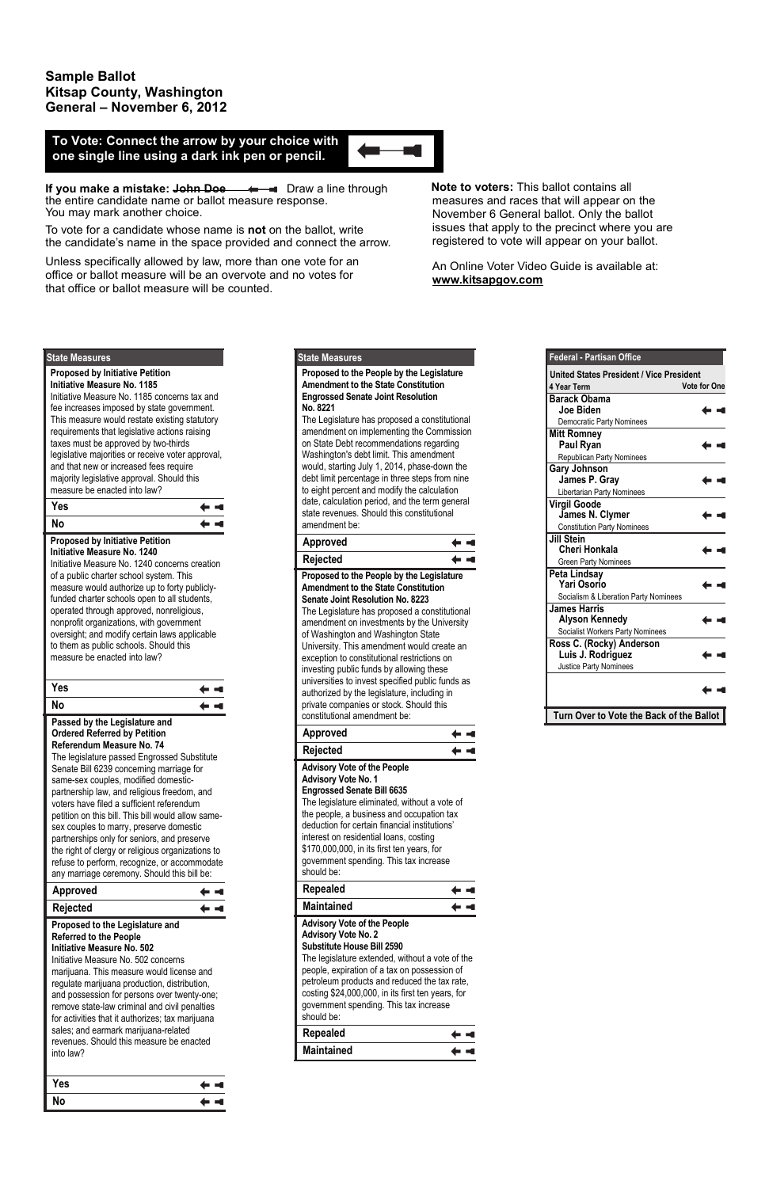# **Sample Ballot Kitsap County, Washington General – November 6, 2012**

**If you make a mistake: John Doe**  $\leftarrow$  $\leftarrow$  Draw a line through the entire candidate name or ballot measure response. You may mark another choice.

To vote for a candidate whose name is **not** on the ballot, write the candidate's name in the space provided and connect the arrow.

Unless specifically allowed by law, more than one vote for an office or ballot measure will be an overvote and no votes for that office or ballot measure will be counted.

 **Note to voters:** This ballot contains all measures and races that will appear on the November 6 General ballot. Only the ballot issues that apply to the precinct where you are registered to vote will appear on your ballot.

An Online Voter Video Guide is available at: **www.kitsapgov.com**

# **To Vote: Connect the arrow by your choice with one single line using a dark ink pen or pencil.**

## **Proposed to the People by the Legislature Amendment to the State Constitution Engrossed Senate Joint Resolution No. 8221**

The Legislature has proposed a constitutional amendment on implementing the Commission on State Debt recommendations regarding Washington's debt limit. This amendment would, starting July 1, 2014, phase-down the debt limit percentage in three steps from nine to eight percent and modify the calculation date, calculation period, and the term general state revenues. Should this constitutional amendment be:

# **State Measures**

| <b>Approved</b>                                                                                                                                                                                                                                                                                                                                                                                                                                                                                                                                                                                |
|------------------------------------------------------------------------------------------------------------------------------------------------------------------------------------------------------------------------------------------------------------------------------------------------------------------------------------------------------------------------------------------------------------------------------------------------------------------------------------------------------------------------------------------------------------------------------------------------|
| <b>Rejected</b>                                                                                                                                                                                                                                                                                                                                                                                                                                                                                                                                                                                |
| Proposed to the People by the Legislature<br><b>Amendment to the State Constitution</b><br><b>Senate Joint Resolution No. 8223</b><br>The Legislature has proposed a constitutional<br>amendment on investments by the University<br>of Washington and Washington State<br>University. This amendment would create an<br>exception to constitutional restrictions on<br>investing public funds by allowing these<br>universities to invest specified public funds as<br>authorized by the legislature, including in<br>private companies or stock. Should this<br>constitutional amendment be: |
| Approved                                                                                                                                                                                                                                                                                                                                                                                                                                                                                                                                                                                       |
| <b>Rejected</b>                                                                                                                                                                                                                                                                                                                                                                                                                                                                                                                                                                                |
| <b>Advisory Vote of the People</b><br><b>Advisory Vote No. 1</b><br><b>Engrossed Senate Bill 6635</b><br>The legislature eliminated, without a vote of<br>the people, a business and occupation tax                                                                                                                                                                                                                                                                                                                                                                                            |

# deduction for certain financial institutions' interest on residential loans, costing \$170,000,000, in its first ten years, for government spending. This tax increase

| should be:                                                                                                                                                                                                                                                                                                                                                            |  |
|-----------------------------------------------------------------------------------------------------------------------------------------------------------------------------------------------------------------------------------------------------------------------------------------------------------------------------------------------------------------------|--|
| Repealed                                                                                                                                                                                                                                                                                                                                                              |  |
| <b>Maintained</b>                                                                                                                                                                                                                                                                                                                                                     |  |
| <b>Advisory Vote of the People</b><br><b>Advisory Vote No. 2</b><br><b>Substitute House Bill 2590</b><br>The legislature extended, without a vote of the<br>people, expiration of a tax on possession of<br>petroleum products and reduced the tax rate,<br>costing \$24,000,000, in its first ten years, for<br>government spending. This tax increase<br>should be: |  |
| Repealed                                                                                                                                                                                                                                                                                                                                                              |  |
| <b>Maintained</b>                                                                                                                                                                                                                                                                                                                                                     |  |

| <b>Federal - Partisan Office</b>                                   |                     |
|--------------------------------------------------------------------|---------------------|
| <b>United States President / Vice President</b>                    |                     |
| 4 Year Term                                                        | <b>Vote for One</b> |
| <b>Barack Obama</b><br>Joe Biden                                   |                     |
| <b>Democratic Party Nominees</b>                                   |                     |
| <b>Mitt Romney</b><br>Paul Ryan                                    |                     |
| Republican Party Nominees                                          |                     |
| <b>Gary Johnson</b><br>James P. Gray<br>Libertarian Party Nominees |                     |
| <b>Virgil Goode</b><br>James N. Clymer                             |                     |
| <b>Constitution Party Nominees</b>                                 |                     |
| <b>Jill Stein</b><br><b>Cheri Honkala</b>                          |                     |
| <b>Green Party Nominees</b>                                        |                     |
| <b>Peta Lindsay</b><br>Yari Osorio                                 |                     |
| Socialism & Liberation Party Nominees                              |                     |
| James Harris<br><b>Alyson Kennedy</b>                              |                     |
| Socialist Workers Party Nominees                                   |                     |
| Ross C. (Rocky) Anderson<br>Luis J. Rodriguez                      |                     |
| Justice Party Nominees                                             |                     |
|                                                                    |                     |
| Turn Over to Vote the Back of the Ballot                           |                     |

# **Proposed by Initiative Petition Initiative Measure No. 1185**

Initiative Measure No. 1185 concerns tax and fee increases imposed by state government. This measure would restate existing statutory requirements that legislative actions raising taxes must be approved by two-thirds legislative majorities or receive voter approval, and that new or increased fees require majority legislative approval. Should this measure be enacted into law?

### **State Measures**

| Yes |  |
|-----|--|
| No  |  |

#### **Proposed by Initiative Petition Initiative Measure No. 1240**

Initiative Measure No. 1240 concerns creation of a public charter school system. This measure would authorize up to forty publiclyfunded charter schools open to all students, operated through approved, nonreligious, nonprofit organizations, with government oversight; and modify certain laws applicable to them as public schools. Should this measure be enacted into law?



## **Passed by the Legislature and Ordered Referred by Petition Referendum Measure No. 74**  The legislature passed Engrossed Substitute Senate Bill 6239 concerning marriage for same-sex couples, modified domesticpartnership law, and religious freedom, and voters have filed a sufficient referendum petition on this bill. This bill would allow samesex couples to marry, preserve domestic partnerships only for seniors, and preserve the right of clergy or religious organizations to refuse to perform, recognize, or accommodate

| any marriage ceremony. Should this bill be:                                                                                                                                                                                                                                                                                                                                                                                                                                             |  |
|-----------------------------------------------------------------------------------------------------------------------------------------------------------------------------------------------------------------------------------------------------------------------------------------------------------------------------------------------------------------------------------------------------------------------------------------------------------------------------------------|--|
| <b>Approved</b>                                                                                                                                                                                                                                                                                                                                                                                                                                                                         |  |
| Rejected                                                                                                                                                                                                                                                                                                                                                                                                                                                                                |  |
| Proposed to the Legislature and<br><b>Referred to the People</b><br>Initiative Measure No. 502<br>Initiative Measure No. 502 concerns<br>marijuana. This measure would license and<br>regulate marijuana production, distribution,<br>and possession for persons over twenty-one;<br>remove state-law criminal and civil penalties<br>for activities that it authorizes; tax marijuana<br>sales; and earmark marijuana-related<br>revenues. Should this measure be enacted<br>into law? |  |

| Yes | — ⊣     |
|-----|---------|
| No  | (=  = 1 |